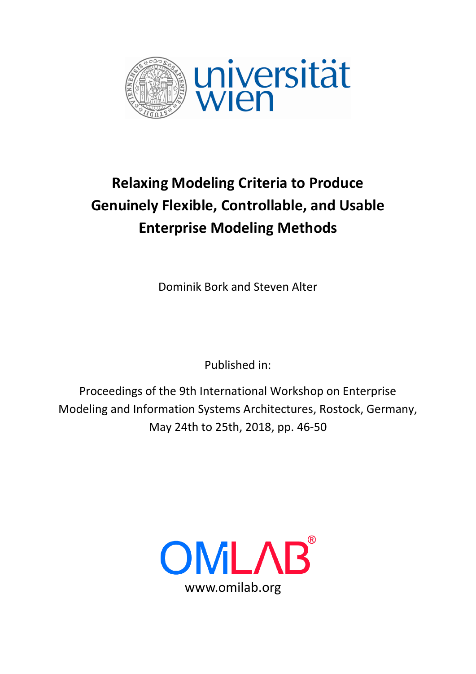

# **Relaxing Modeling Criteria to Produce Genuinely Flexible, Controllable, and Usable Enterprise Modeling Methods**

Dominik Bork and Steven Alter

Published in:

Proceedings of the 9th International Workshop on Enterprise Modeling and Information Systems Architectures, Rostock, Germany, May 24th to 25th, 2018, pp. 46-50

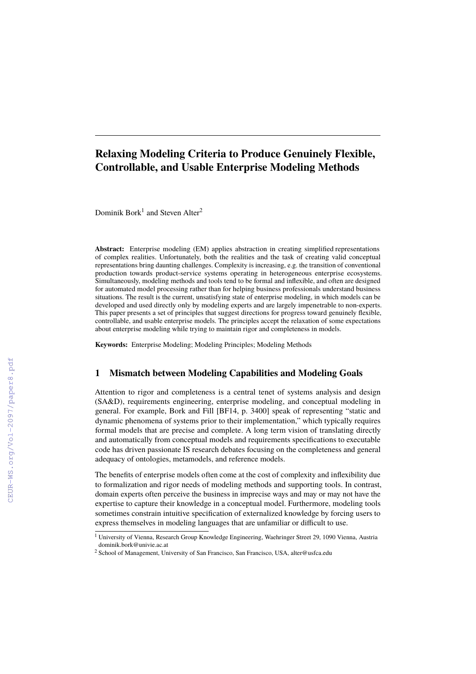# **Relaxing Modeling Criteria to Produce Genuinely Flexible, Controllable, and Usable Enterprise Modeling Methods**

Dominik Bork<sup>1</sup> and Steven Alter<sup>2</sup>

**Abstract:** Enterprise modeling (EM) applies abstraction in creating simplified representations of complex realities. Unfortunately, both the realities and the task of creating valid conceptual representations bring daunting challenges. Complexity is increasing, e.g. the transition of conventional production towards product-service systems operating in heterogeneous enterprise ecosystems. Simultaneously, modeling methods and tools tend to be formal and inflexible, and often are designed for automated model processing rather than for helping business professionals understand business situations. The result is the current, unsatisfying state of enterprise modeling, in which models can be developed and used directly only by modeling experts and are largely impenetrable to non-experts. This paper presents a set of principles that suggest directions for progress toward genuinely flexible, controllable, and usable enterprise models. The principles accept the relaxation of some expectations about enterprise modeling while trying to maintain rigor and completeness in models.

**Keywords:** Enterprise Modeling; Modeling Principles; Modeling Methods

## **1 Mismatch between Modeling Capabilities and Modeling Goals**

Attention to rigor and completeness is a central tenet of systems analysis and design (SA&D), requirements engineering, enterprise modeling, and conceptual modeling in general. For example, Bork and Fill [BF14, p. 3400] speak of representing "static and dynamic phenomena of systems prior to their implementation," which typically requires formal models that are precise and complete. A long term vision of translating directly and automatically from conceptual models and requirements specifications to executable code has driven passionate IS research debates focusing on the completeness and general adequacy of ontologies, metamodels, and reference models.

The benefits of enterprise models often come at the cost of complexity and inflexibility due to formalization and rigor needs of modeling methods and supporting tools. In contrast, domain experts often perceive the business in imprecise ways and may or may not have the expertise to capture their knowledge in a conceptual model. Furthermore, modeling tools sometimes constrain intuitive specification of externalized knowledge by forcing users to express themselves in modeling languages that are unfamiliar or difficult to use.

<sup>&</sup>lt;sup>1</sup> University of Vienna, Research Group Knowledge Engineering, Waehringer Street 29, 1090 Vienna, Austria <dominik.bork@univie.ac.at>

<sup>2</sup> School of Management, University of San Francisco, San Francisco, USA, <alter@usfca.edu>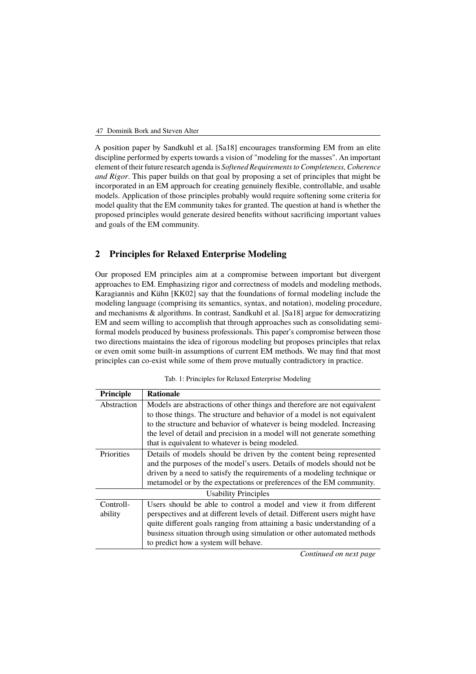A position paper by Sandkuhl et al. [\[Sa18\]](#page-5-0) encourages transforming EM from an elite discipline performed by experts towards a vision of "modeling for the masses". An important element of their future research agenda is *Softened Requirements to Completeness, Coherence and Rigor*. This paper builds on that goal by proposing a set of principles that might be incorporated in an EM approach for creating genuinely flexible, controllable, and usable models. Application of those principles probably would require softening some criteria for model quality that the EM community takes for granted. The question at hand is whether the proposed principles would generate desired benefits without sacrificing important values and goals of the EM community.

### **2 Principles for Relaxed Enterprise Modeling**

Our proposed EM principles aim at a compromise between important but divergent approaches to EM. Emphasizing rigor and correctness of models and modeling methods, Karagiannis and Kühn [\[KK02\]](#page-5-1) say that the foundations of formal modeling include the modeling language (comprising its semantics, syntax, and notation), modeling procedure, and mechanisms & algorithms. In contrast, Sandkuhl et al. [\[Sa18\]](#page-5-0) argue for democratizing EM and seem willing to accomplish that through approaches such as consolidating semiformal models produced by business professionals. This paper's compromise between those two directions maintains the idea of rigorous modeling but proposes principles that relax or even omit some built-in assumptions of current EM methods. We may find that most principles can co-exist while some of them prove mutually contradictory in practice.

| Principle                   | <b>Rationale</b>                                                           |  |
|-----------------------------|----------------------------------------------------------------------------|--|
| Abstraction                 | Models are abstractions of other things and therefore are not equivalent   |  |
|                             | to those things. The structure and behavior of a model is not equivalent   |  |
|                             | to the structure and behavior of whatever is being modeled. Increasing     |  |
|                             | the level of detail and precision in a model will not generate something   |  |
|                             | that is equivalent to whatever is being modeled.                           |  |
| Priorities                  | Details of models should be driven by the content being represented        |  |
|                             | and the purposes of the model's users. Details of models should not be     |  |
|                             | driven by a need to satisfy the requirements of a modeling technique or    |  |
|                             | metamodel or by the expectations or preferences of the EM community.       |  |
| <b>Usability Principles</b> |                                                                            |  |
| Controll-                   | Users should be able to control a model and view it from different         |  |
| ability                     | perspectives and at different levels of detail. Different users might have |  |
|                             | quite different goals ranging from attaining a basic understanding of a    |  |
|                             | business situation through using simulation or other automated methods     |  |
|                             | to predict how a system will behave.                                       |  |

Tab. 1: Principles for Relaxed Enterprise Modeling

*Continued on next page*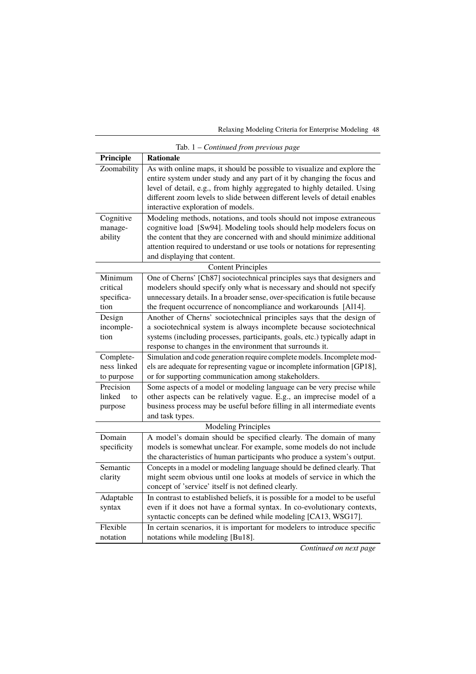Relaxing Modeling Criteria for Enterprise Modeling 48

| Tab. $1$ – Continued from previous page   |                                                                                                                                                                                                                                                                                                                                                 |  |
|-------------------------------------------|-------------------------------------------------------------------------------------------------------------------------------------------------------------------------------------------------------------------------------------------------------------------------------------------------------------------------------------------------|--|
| Principle                                 | <b>Rationale</b>                                                                                                                                                                                                                                                                                                                                |  |
| Zoomability                               | As with online maps, it should be possible to visualize and explore the<br>entire system under study and any part of it by changing the focus and<br>level of detail, e.g., from highly aggregated to highly detailed. Using<br>different zoom levels to slide between different levels of detail enables<br>interactive exploration of models. |  |
| Cognitive<br>manage-<br>ability           | Modeling methods, notations, and tools should not impose extraneous<br>cognitive load [Sw94]. Modeling tools should help modelers focus on<br>the content that they are concerned with and should minimize additional<br>attention required to understand or use tools or notations for representing<br>and displaying that content.            |  |
| <b>Content Principles</b>                 |                                                                                                                                                                                                                                                                                                                                                 |  |
| Minimum<br>critical<br>specifica-<br>tion | One of Cherns' [Ch87] sociotechnical principles says that designers and<br>modelers should specify only what is necessary and should not specify<br>unnecessary details. In a broader sense, over-specification is futile because<br>the frequent occurrence of noncompliance and workarounds [Al14].                                           |  |
| Design<br>incomple-<br>tion               | Another of Cherns' sociotechnical principles says that the design of<br>a sociotechnical system is always incomplete because sociotechnical<br>systems (including processes, participants, goals, etc.) typically adapt in<br>response to changes in the environment that surrounds it.                                                         |  |
| Complete-<br>ness linked<br>to purpose    | Simulation and code generation require complete models. Incomplete mod-<br>els are adequate for representing vague or incomplete information [GP18],<br>or for supporting communication among stakeholders.                                                                                                                                     |  |
| Precision<br>linked<br>to<br>purpose      | Some aspects of a model or modeling language can be very precise while<br>other aspects can be relatively vague. E.g., an imprecise model of a<br>business process may be useful before filling in all intermediate events<br>and task types.                                                                                                   |  |
| <b>Modeling Principles</b>                |                                                                                                                                                                                                                                                                                                                                                 |  |
| Domain<br>specificity                     | A model's domain should be specified clearly. The domain of many<br>models is somewhat unclear. For example, some models do not include<br>the characteristics of human participants who produce a system's output.                                                                                                                             |  |
| Semantic<br>clarity                       | Concepts in a model or modeling language should be defined clearly. That<br>might seem obvious until one looks at models of service in which the<br>concept of 'service' itself is not defined clearly.                                                                                                                                         |  |
| Adaptable<br>syntax                       | In contrast to established beliefs, it is possible for a model to be useful<br>even if it does not have a formal syntax. In co-evolutionary contexts,<br>syntactic concepts can be defined while modeling [CA13, WSG17].                                                                                                                        |  |
| Flexible<br>notation                      | In certain scenarios, it is important for modelers to introduce specific<br>notations while modeling [Bu18].                                                                                                                                                                                                                                    |  |

*Continued on next page*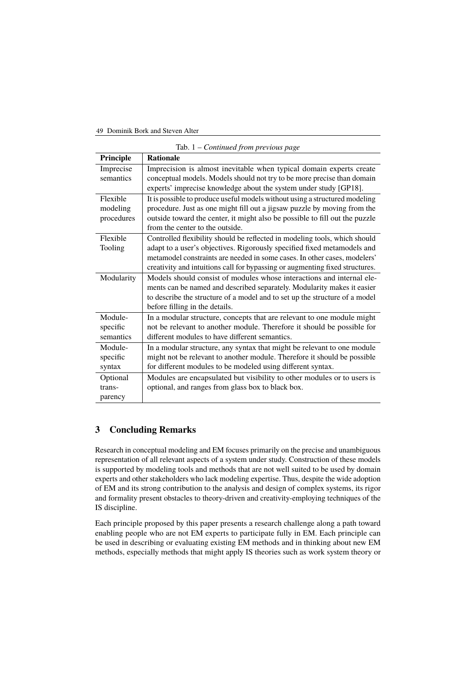#### 49 Dominik Bork and Steven Alter

| Tab. $1$ – Continued from previous page |                                                                                                                                                |  |
|-----------------------------------------|------------------------------------------------------------------------------------------------------------------------------------------------|--|
| Principle                               | <b>Rationale</b>                                                                                                                               |  |
| Imprecise<br>semantics                  | Imprecision is almost inevitable when typical domain experts create<br>conceptual models. Models should not try to be more precise than domain |  |
|                                         | experts' imprecise knowledge about the system under study [GP18].                                                                              |  |
| Flexible                                | It is possible to produce useful models without using a structured modeling                                                                    |  |
| modeling                                | procedure. Just as one might fill out a jigsaw puzzle by moving from the                                                                       |  |
| procedures                              | outside toward the center, it might also be possible to fill out the puzzle                                                                    |  |
|                                         | from the center to the outside.                                                                                                                |  |
| Flexible                                | Controlled flexibility should be reflected in modeling tools, which should                                                                     |  |
| Tooling                                 | adapt to a user's objectives. Rigorously specified fixed metamodels and                                                                        |  |
|                                         | metamodel constraints are needed in some cases. In other cases, modelers'                                                                      |  |
|                                         | creativity and intuitions call for bypassing or augmenting fixed structures.                                                                   |  |
| Modularity                              | Models should consist of modules whose interactions and internal ele-                                                                          |  |
|                                         | ments can be named and described separately. Modularity makes it easier                                                                        |  |
|                                         | to describe the structure of a model and to set up the structure of a model                                                                    |  |
|                                         | before filling in the details.                                                                                                                 |  |
| Module-                                 | In a modular structure, concepts that are relevant to one module might                                                                         |  |
| specific                                | not be relevant to another module. Therefore it should be possible for                                                                         |  |
| semantics                               | different modules to have different semantics.                                                                                                 |  |
| Module-                                 | In a modular structure, any syntax that might be relevant to one module                                                                        |  |
| specific                                | might not be relevant to another module. Therefore it should be possible                                                                       |  |
| syntax                                  | for different modules to be modeled using different syntax.                                                                                    |  |
| Optional                                | Modules are encapsulated but visibility to other modules or to users is                                                                        |  |
| trans-                                  | optional, and ranges from glass box to black box.                                                                                              |  |
| parency                                 |                                                                                                                                                |  |

## **3 Concluding Remarks**

Research in conceptual modeling and EM focuses primarily on the precise and unambiguous representation of all relevant aspects of a system under study. Construction of these models is supported by modeling tools and methods that are not well suited to be used by domain experts and other stakeholders who lack modeling expertise. Thus, despite the wide adoption of EM and its strong contribution to the analysis and design of complex systems, its rigor and formality present obstacles to theory-driven and creativity-employing techniques of the IS discipline.

Each principle proposed by this paper presents a research challenge along a path toward enabling people who are not EM experts to participate fully in EM. Each principle can be used in describing or evaluating existing EM methods and in thinking about new EM methods, especially methods that might apply IS theories such as work system theory or